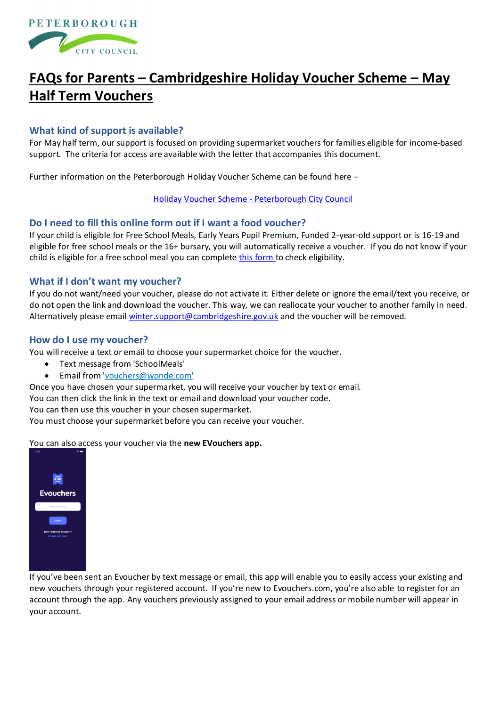

# **FAQs for Parents – Cambridgeshire Holiday Voucher Scheme – May Half Term Vouchers**

# **What kind of support is available?**

For May half term, our support is focused on providing supermarket vouchers for families eligible for income-based support. The criteria for access are available with the letter that accompanies this document.

Further information on the Peterborough Holiday Voucher Scheme can be found here –

#### [Holiday Voucher Scheme -](https://www.peterborough.gov.uk/residents/schools-and-education/holiday-voucher-scheme) Peterborough City Council

### **Do I need to fill this online form out if I want a food voucher?**

If your child is eligible for Free School Meals, Early Years Pupil Premium, Funded 2-year-old support or is 16-19 and eligible for free school meals or the 16+ bursary, you will automatically receive a voucher. If you do not know if your child is eligible for a free school meal you can complet[e this form](https://cambridgeshire-self.achieveservice.com/service/Apply_for_Education_Welfare_Benefits) to check eligibility.

### **What if I don't want my voucher?**

If you do not want/need your voucher, please do not activate it. Either delete or ignore the email/text you receive, or do not open the link and download the voucher. This way, we can reallocate your voucher to another family in need. Alternatively please emai[l winter.support@cambridgeshire.gov.uk](mailto:winter.support@cambridgeshire.gov.uk) and the voucher will be removed.

### **How do I use my voucher?**

You will receive a text or email to choose your supermarket choice for the voucher.

- Text message from 'SchoolMeals'
- Email from ['vouchers@wonde.com'](mailto:vouchers@wonde.com)

Once you have chosen your supermarket, you will receive your voucher by text or email.

You can then click the link in the text or email and download your voucher code.

You can then use this voucher in your chosen supermarket.

You must choose your supermarket before you can receive your voucher.

#### You can also access your voucher via the **new EVouchers app.**



If you've been sent an Evoucher by text message or email, this app will enable you to easily access your existing and new vouchers through your registered account. If you're new to Evouchers.com, you're also able to register for an account through the app. Any vouchers previously assigned to your email address or mobile number will appear in your account.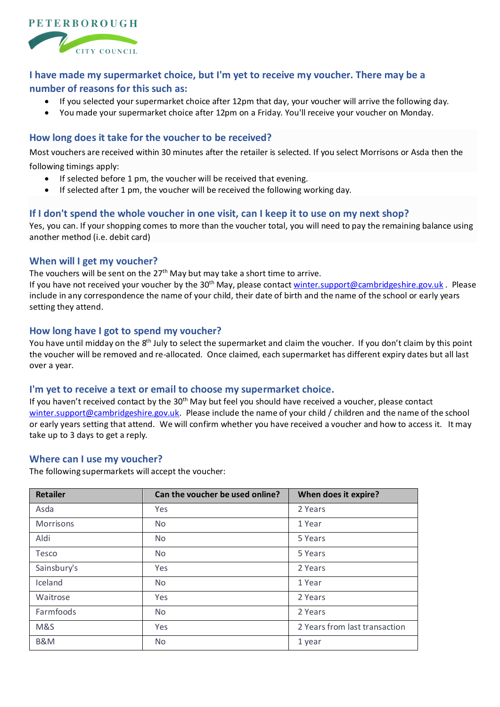

# **I have made my supermarket choice, but I'm yet to receive my voucher. There may be a number of reasons for this such as:**

- If you selected your supermarket choice after 12pm that day, your voucher will arrive the following day.
- You made your supermarket choice after 12pm on a Friday. You'll receive your voucher on Monday.

# **How long does it take for the voucher to be received?**

Most vouchers are received within 30 minutes after the retailer is selected. If you select Morrisons or Asda then the following timings apply:

- If selected before 1 pm, the voucher will be received that evening.
- If selected after 1 pm, the voucher will be received the following working day.

## **If I don't spend the whole voucher in one visit, can I keep it to use on my next shop?**

Yes, you can. If your shopping comes to more than the voucher total, you will need to pay the remaining balance using another method (i.e. debit card)

## **When will I get my voucher?**

The vouchers will be sent on the 27<sup>th</sup> May but may take a short time to arrive.

If you have not received your voucher by the 30<sup>th</sup> May, please contac[t winter.support@cambridgeshire.gov.uk](mailto:winter.support@cambridgeshire.gov.uk) . Please include in any correspondence the name of your child, their date of birth and the name of the school or early years setting they attend.

## **How long have I got to spend my voucher?**

You have until midday on the 8<sup>th</sup> July to select the supermarket and claim the voucher. If you don't claim by this point the voucher will be removed and re-allocated. Once claimed, each supermarket has different expiry dates but all last over a year.

## **I'm yet to receive a text or email to choose my supermarket choice.**

If you haven't received contact by the 30<sup>th</sup> May but feel you should have received a voucher, please contact [winter.support@cambridgeshire.gov.uk.](mailto:winter.support@cambridgeshire.gov.uk) Please include the name of your child / children and the name of the school or early years setting that attend. We will confirm whether you have received a voucher and how to access it. It may take up to 3 days to get a reply.

## **Where can I use my voucher?**

The following supermarkets will accept the voucher:

| <b>Retailer</b> | Can the voucher be used online? | When does it expire?          |
|-----------------|---------------------------------|-------------------------------|
| Asda            | Yes                             | 2 Years                       |
| Morrisons       | <b>No</b>                       | 1 Year                        |
| Aldi            | <b>No</b>                       | 5 Years                       |
| Tesco           | <b>No</b>                       | 5 Years                       |
| Sainsbury's     | Yes                             | 2 Years                       |
| Iceland         | <b>No</b>                       | 1 Year                        |
| Waitrose        | Yes                             | 2 Years                       |
| Farmfoods       | <b>No</b>                       | 2 Years                       |
| M&S             | Yes                             | 2 Years from last transaction |
| B&M             | <b>No</b>                       | 1 year                        |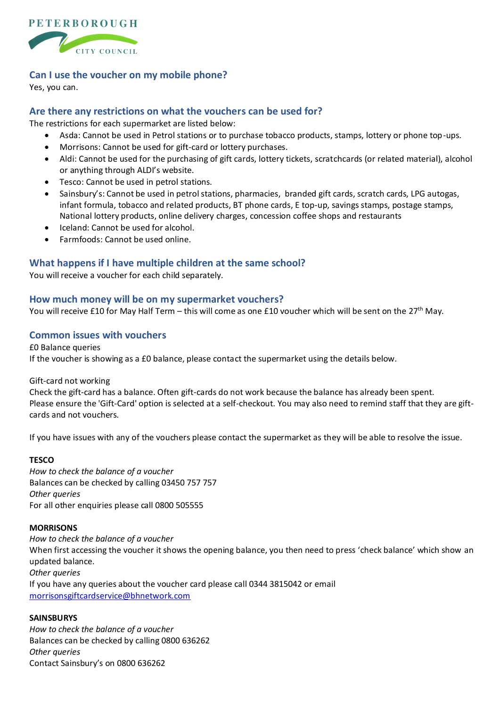

## **Can I use the voucher on my mobile phone?**

Yes, you can.

## **Are there any restrictions on what the vouchers can be used for?**

The restrictions for each supermarket are listed below:

- Asda: Cannot be used in Petrol stations or to purchase tobacco products, stamps, lottery or phone top-ups.
- Morrisons: Cannot be used for gift-card or lottery purchases.
- Aldi: Cannot be used for the purchasing of gift cards, lottery tickets, scratchcards (or related material), alcohol or anything through ALDI's website.
- Tesco: Cannot be used in petrol stations.
- Sainsbury's: Cannot be used in petrol stations, pharmacies, branded gift cards, scratch cards, LPG autogas, infant formula, tobacco and related products, BT phone cards, E top-up, savings stamps, postage stamps, National lottery products, online delivery charges, concession coffee shops and restaurants
- Iceland: Cannot be used for alcohol.
- Farmfoods: Cannot be used online.

## **What happens if I have multiple children at the same school?**

You will receive a voucher for each child separately.

### **How much money will be on my supermarket vouchers?**

You will receive £10 for May Half Term – this will come as one £10 voucher which will be sent on the 27<sup>th</sup> May.

## **Common issues with vouchers**

£0 Balance queries If the voucher is showing as a £0 balance, please contact the supermarket using the details below.

Gift-card not working

Check the gift-card has a balance. Often gift-cards do not work because the balance has already been spent. Please ensure the 'Gift-Card' option is selected at a self-checkout. You may also need to remind staff that they are giftcards and not vouchers.

If you have issues with any of the vouchers please contact the supermarket as they will be able to resolve the issue.

#### **TESCO**

*How to check the balance of a voucher* Balances can be checked by calling 03450 757 757 *Other queries* For all other enquiries please call 0800 505555

#### **MORRISONS**

*How to check the balance of a voucher* When first accessing the voucher it shows the opening balance, you then need to press 'check balance' which show an updated balance. *Other queries* If you have any queries about the voucher card please call 0344 3815042 or email [morrisonsgiftcardservice@bhnetwork.com](mailto:morrisonsgiftcardservice@bhnetwork.com)

#### **SAINSBURYS**

*How to check the balance of a voucher* Balances can be checked by calling 0800 636262 *Other queries* Contact Sainsbury's on 0800 636262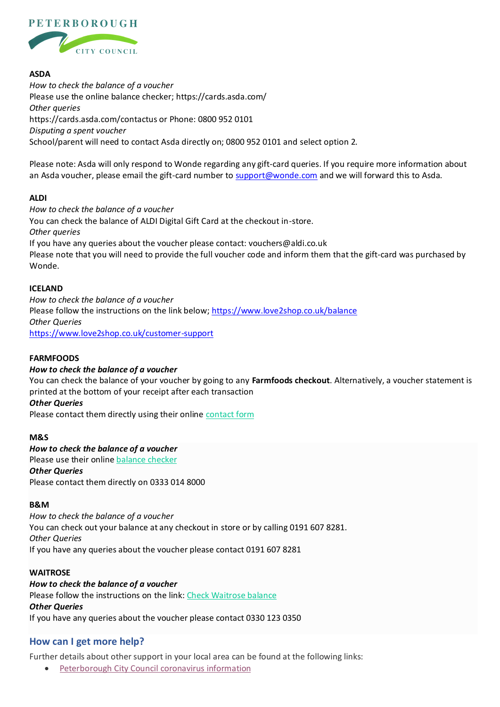

## **ASDA**

*How to check the balance of a voucher* Please use the online balance checker; https://cards.asda.com/ *Other queries* https://cards.asda.com/contactus or Phone: 0800 952 0101 *Disputing a spent voucher* School/parent will need to contact Asda directly on; 0800 952 0101 and select option 2.

Please note: Asda will only respond to Wonde regarding any gift-card queries. If you require more information about an Asda voucher, please email the gift-card number to [support@wonde.com](mailto:support@wonde.com) and we will forward this to Asda.

#### **ALDI**

*How to check the balance of a voucher* You can check the balance of ALDI Digital Gift Card at the checkout in-store. *Other queries* If you have any queries about the voucher please contact: vouchers@aldi.co.uk Please note that you will need to provide the full voucher code and inform them that the gift-card was purchased by Wonde.

### **ICELAND**

*How to check the balance of a voucher* Please follow the instructions on the link below;<https://www.love2shop.co.uk/balance> *Other Queries* <https://www.love2shop.co.uk/customer-support>

## **FARMFOODS**

#### *How to check the balance of a voucher*

You can check the balance of your voucher by going to any **Farmfoods checkout**. Alternatively, a voucher statement is printed at the bottom of your receipt after each transaction

#### *Other Queries*

Please contact them directly using their online [contact form](https://www.farmfoods.co.uk/contact-us.php)

#### **M&S**

# *How to check the balance of a voucher* Please use their online [balance checker](https://www.marksandspencer.com/MSGiftCardBalanceChecker) *Other Queries*

Please contact them directly on 0333 014 8000

#### **B&M**

*How to check the balance of a voucher* You can check out your balance at any checkout in store or by calling 0191 607 8281. *Other Queries* If you have any queries about the voucher please contact 0191 607 8281

#### **WAITROSE**

#### *How to check the balance of a voucher*

Please follow the instructions on the link: [Check Waitrose balance](https://wbiprod.storedvalue.com/wbisoa/lookupservlet?language=en&host=johnlewis.com) *Other Queries* If you have any queries about the voucher please contact 0330 123 0350

## **How can I get more help?**

Further details about other support in your local area can be found at the following links:

• [Peterborough City Council coronavirus information](https://www.peterborough.gov.uk/healthcare/public-health/coronavirus/household-support-fund)